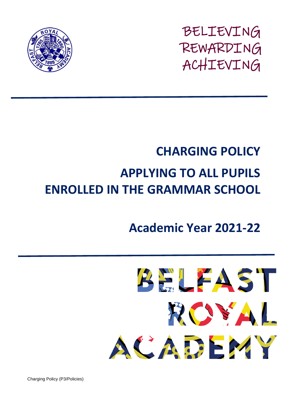

BELIEVING REWARDING ACHIEVING

## **CHARGING POLICY APPLYING TO ALL PUPILS ENROLLED IN THE GRAMMAR SCHOOL**

## **Academic Year 2021-22**



**Charging Policy (P3/Policies)**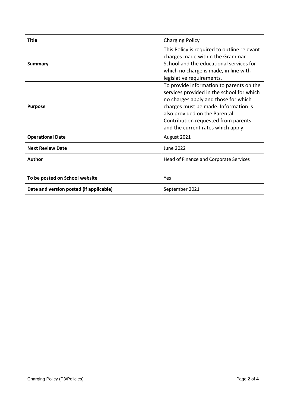| Title                   | <b>Charging Policy</b>                                                                                                                                                                                                                                                              |
|-------------------------|-------------------------------------------------------------------------------------------------------------------------------------------------------------------------------------------------------------------------------------------------------------------------------------|
| Summary                 | This Policy is required to outline relevant<br>charges made within the Grammar<br>School and the educational services for<br>which no charge is made, in line with<br>legislative requirements.                                                                                     |
| <b>Purpose</b>          | To provide information to parents on the<br>services provided in the school for which<br>no charges apply and those for which<br>charges must be made. Information is<br>also provided on the Parental<br>Contribution requested from parents<br>and the current rates which apply. |
| <b>Operational Date</b> | August 2021                                                                                                                                                                                                                                                                         |
| <b>Next Review Date</b> | June 2022                                                                                                                                                                                                                                                                           |
| Author                  | Head of Finance and Corporate Services                                                                                                                                                                                                                                              |

| To be posted on School website          | Yes            |
|-----------------------------------------|----------------|
| Date and version posted (if applicable) | September 2021 |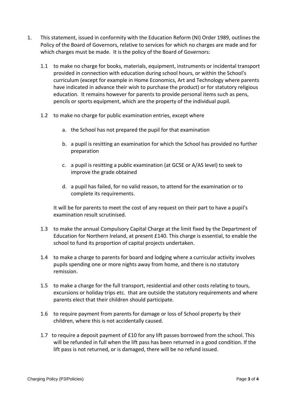- 1. This statement, issued in conformity with the Education Reform (NI) Order 1989, outlines the Policy of the Board of Governors, relative to services for which no charges are made and for which charges must be made. It is the policy of the Board of Governors:
	- 1.1 to make no charge for books, materials, equipment, instruments or incidental transport provided in connection with education during school hours, or within the School's curriculum (except for example in Home Economics, Art and Technology where parents have indicated in advance their wish to purchase the product) or for statutory religious education. It remains however for parents to provide personal items such as pens, pencils or sports equipment, which are the property of the individual pupil.
	- 1.2 to make no charge for public examination entries, except where
		- a. the School has not prepared the pupil for that examination
		- b. a pupil is resitting an examination for which the School has provided no further preparation
		- c. a pupil is resitting a public examination (at GCSE or A/AS level) to seek to improve the grade obtained
		- d. a pupil has failed, for no valid reason, to attend for the examination or to complete its requirements.

It will be for parents to meet the cost of any request on their part to have a pupil's examination result scrutinised.

- 1.3 to make the annual Compulsory Capital Charge at the limit fixed by the Department of Education for Northern Ireland, at present £140. This charge is essential, to enable the school to fund its proportion of capital projects undertaken.
- 1.4 to make a charge to parents for board and lodging where a curricular activity involves pupils spending one or more nights away from home, and there is no statutory remission.
- 1.5 to make a charge for the full transport, residential and other costs relating to tours, excursions or holiday trips etc. that are outside the statutory requirements and where parents elect that their children should participate.
- 1.6 to require payment from parents for damage or loss of School property by their children, where this is not accidentally caused.
- 1.7 to require a deposit payment of £10 for any lift passes borrowed from the school. This will be refunded in full when the lift pass has been returned in a good condition. If the lift pass is not returned, or is damaged, there will be no refund issued.